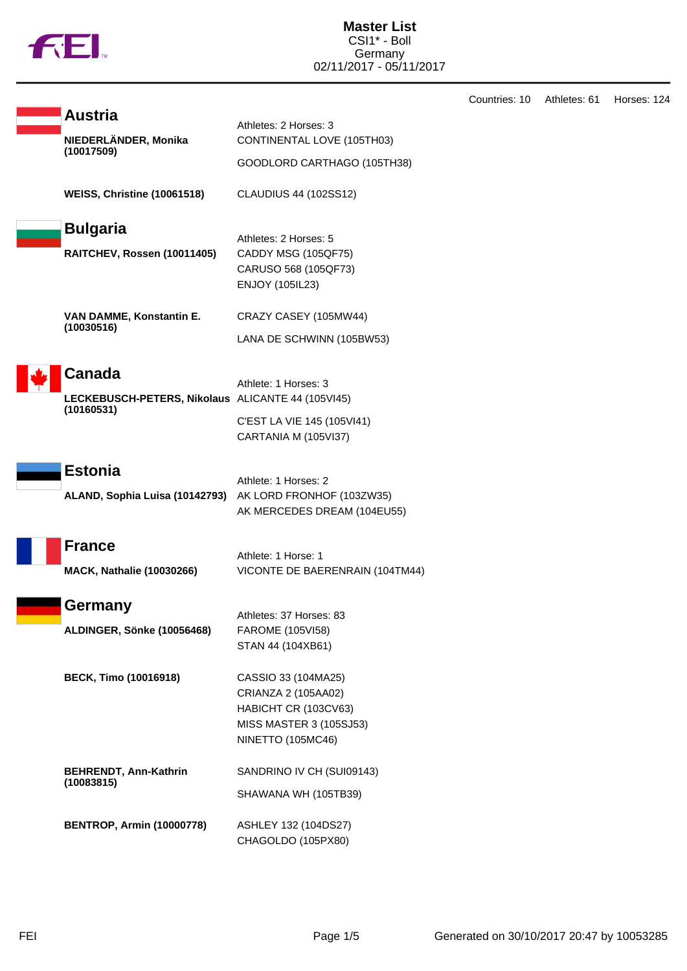

|                                                          |                                              | Countries: 10 | Athletes: 61 | Horses: 124 |
|----------------------------------------------------------|----------------------------------------------|---------------|--------------|-------------|
| <b>Austria</b>                                           | Athletes: 2 Horses: 3                        |               |              |             |
| NIEDERLÄNDER, Monika                                     | CONTINENTAL LOVE (105TH03)                   |               |              |             |
| (10017509)                                               | GOODLORD CARTHAGO (105TH38)                  |               |              |             |
| WEISS, Christine (10061518)                              | <b>CLAUDIUS 44 (102SS12)</b>                 |               |              |             |
| <b>Bulgaria</b>                                          |                                              |               |              |             |
| RAITCHEV, Rossen (10011405)                              | Athletes: 2 Horses: 5<br>CADDY MSG (105QF75) |               |              |             |
|                                                          | CARUSO 568 (105QF73)                         |               |              |             |
|                                                          | <b>ENJOY (105IL23)</b>                       |               |              |             |
| VAN DAMME, Konstantin E.                                 | CRAZY CASEY (105MW44)                        |               |              |             |
| (10030516)                                               | LANA DE SCHWINN (105BW53)                    |               |              |             |
| <b>Canada</b>                                            |                                              |               |              |             |
| LECKEBUSCH-PETERS, Nikolaus ALICANTE 44 (105VI45)        | Athlete: 1 Horses: 3                         |               |              |             |
| (10160531)                                               |                                              |               |              |             |
|                                                          | C'EST LA VIE 145 (105VI41)                   |               |              |             |
|                                                          | CARTANIA M (105VI37)                         |               |              |             |
| <b>Estonia</b>                                           |                                              |               |              |             |
|                                                          | Athlete: 1 Horses: 2                         |               |              |             |
| ALAND, Sophia Luisa (10142793) AK LORD FRONHOF (103ZW35) |                                              |               |              |             |
|                                                          | AK MERCEDES DREAM (104EU55)                  |               |              |             |
| <b>France</b>                                            |                                              |               |              |             |
|                                                          | Athlete: 1 Horse: 1                          |               |              |             |
| <b>MACK, Nathalie (10030266)</b>                         | VICONTE DE BAERENRAIN (104TM44)              |               |              |             |
| Germany                                                  | Athletes: 37 Horses: 83                      |               |              |             |
| ALDINGER, Sönke (10056468)                               | FAROME (105VI58)                             |               |              |             |
|                                                          | STAN 44 (104XB61)                            |               |              |             |
| <b>BECK, Timo (10016918)</b>                             | CASSIO 33 (104MA25)                          |               |              |             |
|                                                          | CRIANZA 2 (105AA02)                          |               |              |             |
|                                                          | HABICHT CR (103CV63)                         |               |              |             |
|                                                          | MISS MASTER 3 (105SJ53)                      |               |              |             |
|                                                          | <b>NINETTO (105MC46)</b>                     |               |              |             |
| <b>BEHRENDT, Ann-Kathrin</b>                             | SANDRINO IV CH (SUI09143)                    |               |              |             |
| (10083815)                                               | SHAWANA WH (105TB39)                         |               |              |             |
|                                                          |                                              |               |              |             |
| <b>BENTROP, Armin (10000778)</b>                         | ASHLEY 132 (104DS27)                         |               |              |             |
|                                                          | CHAGOLDO (105PX80)                           |               |              |             |
|                                                          |                                              |               |              |             |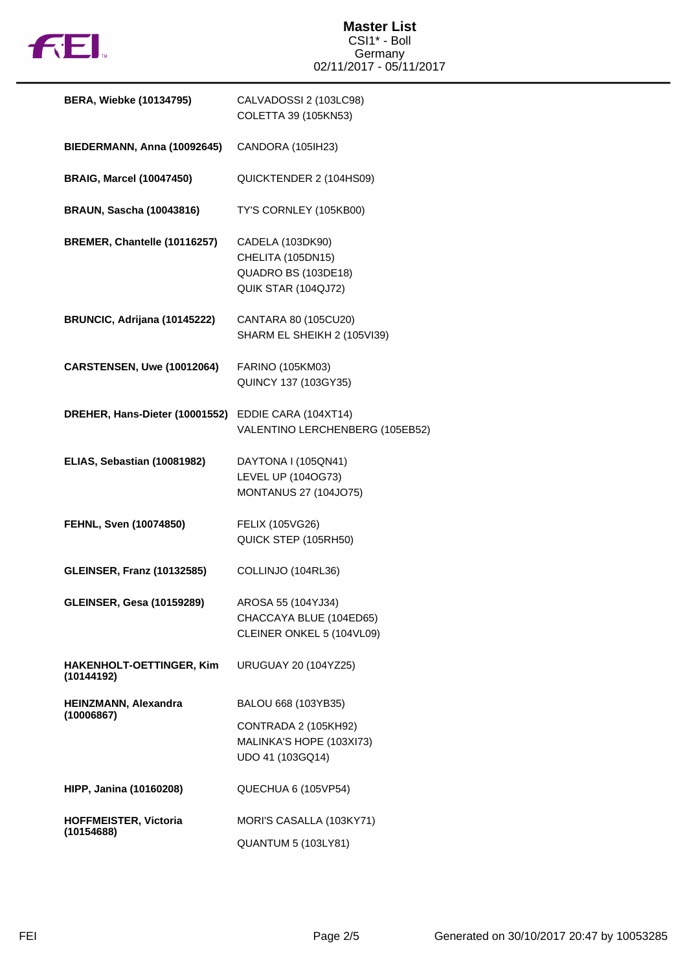

## **Master List** CSI1\* - Boll Germany 02/11/2017 - 05/11/2017

| <b>BERA, Wiebke (10134795)</b>                | CALVADOSSI 2 (103LC98)<br>COLETTA 39 (105KN53)                                      |
|-----------------------------------------------|-------------------------------------------------------------------------------------|
| BIEDERMANN, Anna (10092645)                   | CANDORA (105IH23)                                                                   |
| <b>BRAIG, Marcel (10047450)</b>               | QUICKTENDER 2 (104HS09)                                                             |
| <b>BRAUN, Sascha (10043816)</b>               | TY'S CORNLEY (105KB00)                                                              |
| BREMER, Chantelle (10116257)                  | CADELA (103DK90)<br>CHELITA (105DN15)<br>QUADRO BS (103DE18)<br>QUIK STAR (104QJ72) |
| BRUNCIC, Adrijana (10145222)                  | CANTARA 80 (105CU20)<br>SHARM EL SHEIKH 2 (105VI39)                                 |
| CARSTENSEN, Uwe (10012064)                    | FARINO (105KM03)<br>QUINCY 137 (103GY35)                                            |
| DREHER, Hans-Dieter (10001552)                | EDDIE CARA (104XT14)<br>VALENTINO LERCHENBERG (105EB52)                             |
| ELIAS, Sebastian (10081982)                   | DAYTONA I (105QN41)<br>LEVEL UP (104OG73)<br><b>MONTANUS 27 (104JO75)</b>           |
| FEHNL, Sven (10074850)                        | FELIX (105VG26)<br>QUICK STEP (105RH50)                                             |
| <b>GLEINSER, Franz (10132585)</b>             | COLLINJO (104RL36)                                                                  |
| <b>GLEINSER, Gesa (10159289)</b>              | AROSA 55 (104YJ34)<br>CHACCAYA BLUE (104ED65)<br>CLEINER ONKEL 5 (104VL09)          |
| <b>HAKENHOLT-OETTINGER, Kim</b><br>(10144192) | <b>URUGUAY 20 (104YZ25)</b>                                                         |
| HEINZMANN, Alexandra<br>(10006867)            | BALOU 668 (103YB35)                                                                 |
|                                               | CONTRADA 2 (105KH92)<br>MALINKA'S HOPE (103XI73)<br>UDO 41 (103GQ14)                |
| <b>HIPP, Janina (10160208)</b>                | QUECHUA 6 (105VP54)                                                                 |
| <b>HOFFMEISTER, Victoria</b><br>(10154688)    | MORI'S CASALLA (103KY71)<br><b>QUANTUM 5 (103LY81)</b>                              |
|                                               |                                                                                     |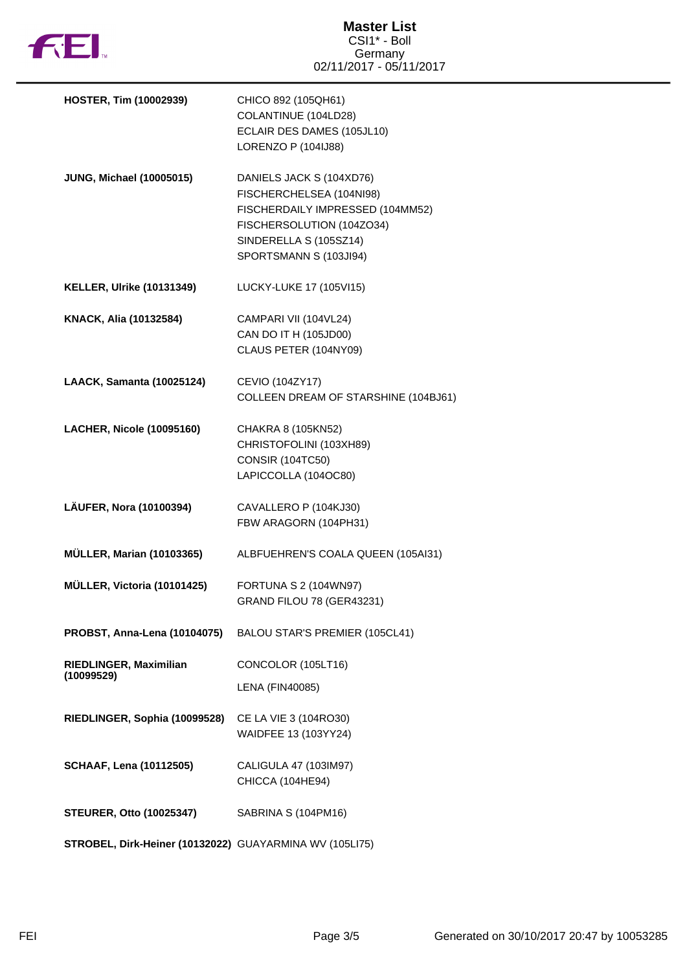

| <b>HOSTER, Tim (10002939)</b>                           | CHICO 892 (105QH61)<br>COLANTINUE (104LD28)<br>ECLAIR DES DAMES (105JL10)<br>LORENZO P (104IJ88)                                                                          |
|---------------------------------------------------------|---------------------------------------------------------------------------------------------------------------------------------------------------------------------------|
| <b>JUNG, Michael (10005015)</b>                         | DANIELS JACK S (104XD76)<br>FISCHERCHELSEA (104NI98)<br>FISCHERDAILY IMPRESSED (104MM52)<br>FISCHERSOLUTION (104ZO34)<br>SINDERELLA S (105SZ14)<br>SPORTSMANN S (103JI94) |
| <b>KELLER, Ulrike (10131349)</b>                        | LUCKY-LUKE 17 (105VI15)                                                                                                                                                   |
| KNACK, Alia (10132584)                                  | CAMPARI VII (104VL24)<br>CAN DO IT H (105JD00)<br>CLAUS PETER (104NY09)                                                                                                   |
| <b>LAACK, Samanta (10025124)</b>                        | CEVIO (104ZY17)<br>COLLEEN DREAM OF STARSHINE (104BJ61)                                                                                                                   |
| <b>LACHER, Nicole (10095160)</b>                        | CHAKRA 8 (105KN52)<br>CHRISTOFOLINI (103XH89)<br><b>CONSIR (104TC50)</b><br>LAPICCOLLA (104OC80)                                                                          |
| LÄUFER, Nora (10100394)                                 | CAVALLERO P (104KJ30)<br>FBW ARAGORN (104PH31)                                                                                                                            |
| <b>MÜLLER, Marian (10103365)</b>                        | ALBFUEHREN'S COALA QUEEN (105AI31)                                                                                                                                        |
| MÜLLER, Victoria (10101425)                             | FORTUNA S 2 (104WN97)<br><b>GRAND FILOU 78 (GER43231)</b>                                                                                                                 |
| PROBST, Anna-Lena (10104075)                            | BALOU STAR'S PREMIER (105CL41)                                                                                                                                            |
| RIEDLINGER, Maximilian<br>(10099529)                    | CONCOLOR (105LT16)<br><b>LENA (FIN40085)</b>                                                                                                                              |
| RIEDLINGER, Sophia (10099528)                           | CE LA VIE 3 (104RO30)<br>WAIDFEE 13 (103YY24)                                                                                                                             |
| <b>SCHAAF, Lena (10112505)</b>                          | CALIGULA 47 (103IM97)<br>CHICCA (104HE94)                                                                                                                                 |
| <b>STEURER, Otto (10025347)</b>                         | SABRINA S (104PM16)                                                                                                                                                       |
| STROBEL, Dirk-Heiner (10132022) GUAYARMINA WV (105LI75) |                                                                                                                                                                           |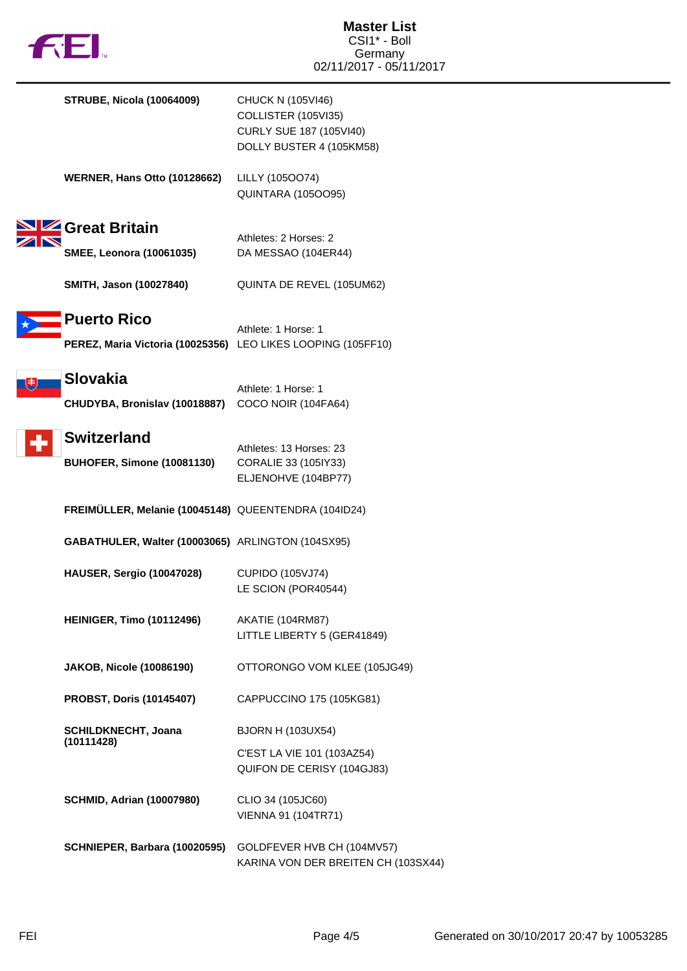

| <b>STRUBE, Nicola (10064009)</b>                             | CHUCK N (105VI46)<br>COLLISTER (105VI35)<br>CURLY SUE 187 (105VI40)<br>DOLLY BUSTER 4 (105KM58) |
|--------------------------------------------------------------|-------------------------------------------------------------------------------------------------|
| <b>WERNER, Hans Otto (10128662)</b>                          | LILLY (105OO74)<br><b>QUINTARA (105OO95)</b>                                                    |
| <b>2 Great Britain</b>                                       |                                                                                                 |
| <b>SMEE, Leonora (10061035)</b>                              | Athletes: 2 Horses: 2<br>DA MESSAO (104ER44)                                                    |
| SMITH, Jason (10027840)                                      | QUINTA DE REVEL (105UM62)                                                                       |
| <b>Puerto Rico</b>                                           |                                                                                                 |
| PEREZ, Maria Victoria (10025356) LEO LIKES LOOPING (105FF10) | Athlete: 1 Horse: 1                                                                             |
| <b>Slovakia</b>                                              |                                                                                                 |
|                                                              | Athlete: 1 Horse: 1                                                                             |
| CHUDYBA, Bronislav (10018887)                                | COCO NOIR (104FA64)                                                                             |
| <b>Switzerland</b>                                           | Athletes: 13 Horses: 23                                                                         |
| BUHOFER, Simone (10081130)                                   | CORALIE 33 (105IY33)                                                                            |
|                                                              | ELJENOHVE (104BP77)                                                                             |
| FREIMÜLLER, Melanie (10045148) QUEENTENDRA (104ID24)         |                                                                                                 |
| GABATHULER, Walter (10003065) ARLINGTON (104SX95)            |                                                                                                 |
| <b>HAUSER, Sergio (10047028)</b>                             | <b>CUPIDO (105VJ74)</b>                                                                         |
|                                                              | LE SCION (POR40544)                                                                             |
| <b>HEINIGER, Timo (10112496)</b>                             | AKATIE (104RM87)                                                                                |
|                                                              | LITTLE LIBERTY 5 (GER41849)                                                                     |
| <b>JAKOB, Nicole (10086190)</b>                              | OTTORONGO VOM KLEE (105JG49)                                                                    |
| <b>PROBST, Doris (10145407)</b>                              | CAPPUCCINO 175 (105KG81)                                                                        |
| <b>SCHILDKNECHT, Joana</b>                                   | <b>BJORN H (103UX54)</b>                                                                        |
| (10111428)                                                   | C'EST LA VIE 101 (103AZ54)                                                                      |
|                                                              | QUIFON DE CERISY (104GJ83)                                                                      |
| <b>SCHMID, Adrian (10007980)</b>                             | CLIO 34 (105JC60)                                                                               |
|                                                              | VIENNA 91 (104TR71)                                                                             |
| SCHNIEPER, Barbara (10020595)                                | GOLDFEVER HVB CH (104MV57)<br>KARINA VON DER BREITEN CH (103SX44)                               |